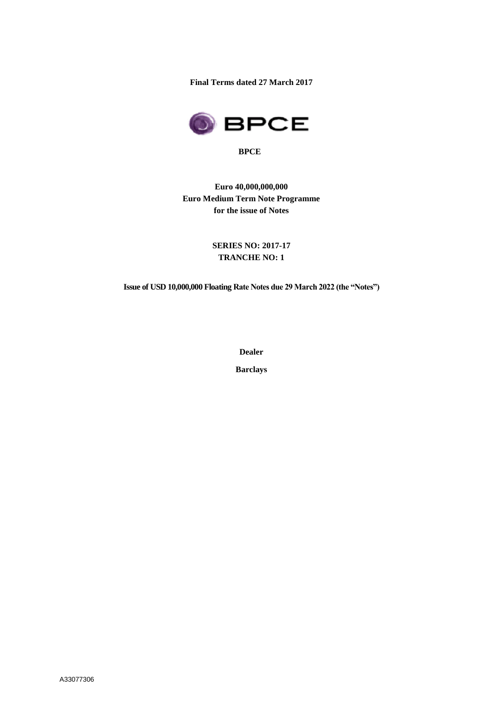**Final Terms dated 27 March 2017**



**BPCE**

**Euro 40,000,000,000 Euro Medium Term Note Programme for the issue of Notes**

> **SERIES NO: 2017-17 TRANCHE NO: 1**

**Issue of USD 10,000,000 Floating Rate Notes due 29 March 2022 (the "Notes")**

**Dealer**

**Barclays**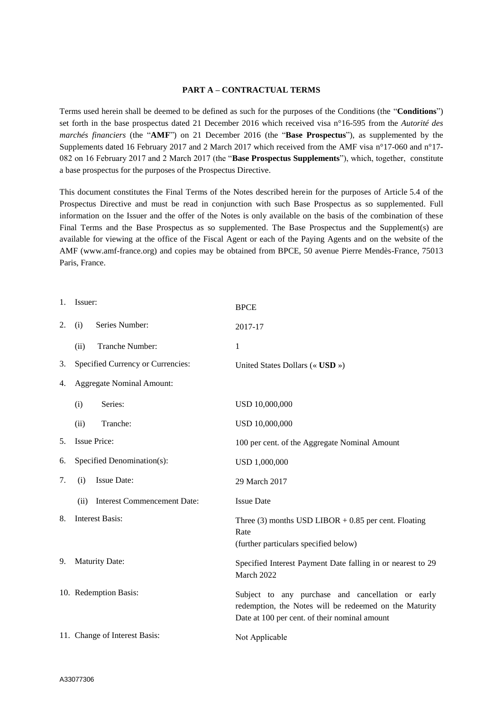#### **PART A – CONTRACTUAL TERMS**

Terms used herein shall be deemed to be defined as such for the purposes of the Conditions (the "**Conditions**") set forth in the base prospectus dated 21 December 2016 which received visa n°16-595 from the *Autorité des marchés financiers* (the "**AMF**") on 21 December 2016 (the "**Base Prospectus**"), as supplemented by the Supplements dated 16 February 2017 and 2 March 2017 which received from the AMF visa n°17-060 and n°17- 082 on 16 February 2017 and 2 March 2017 (the "**Base Prospectus Supplements**"), which, together, constitute a base prospectus for the purposes of the Prospectus Directive.

This document constitutes the Final Terms of the Notes described herein for the purposes of Article 5.4 of the Prospectus Directive and must be read in conjunction with such Base Prospectus as so supplemented. Full information on the Issuer and the offer of the Notes is only available on the basis of the combination of these Final Terms and the Base Prospectus as so supplemented. The Base Prospectus and the Supplement(s) are available for viewing at the office of the Fiscal Agent or each of the Paying Agents and on the website of the AMF (www.amf-france.org) and copies may be obtained from BPCE, 50 avenue Pierre Mendès-France, 75013 Paris, France.

|                                        | 1. Issuer:                                 | <b>BPCE</b>                                                                                                                                                  |
|----------------------------------------|--------------------------------------------|--------------------------------------------------------------------------------------------------------------------------------------------------------------|
| 2.                                     | Series Number:<br>(i)                      | 2017-17                                                                                                                                                      |
|                                        | Tranche Number:<br>(ii)                    | 1                                                                                                                                                            |
| 3.                                     | Specified Currency or Currencies:          | United States Dollars (« USD »)                                                                                                                              |
| <b>Aggregate Nominal Amount:</b><br>4. |                                            |                                                                                                                                                              |
|                                        | Series:<br>(i)                             | USD 10,000,000                                                                                                                                               |
|                                        | Tranche:<br>(ii)                           | USD 10,000,000                                                                                                                                               |
| 5.                                     | <b>Issue Price:</b>                        | 100 per cent. of the Aggregate Nominal Amount                                                                                                                |
| 6.                                     | Specified Denomination(s):                 | USD 1,000,000                                                                                                                                                |
| 7.                                     | <b>Issue Date:</b><br>(i)                  | 29 March 2017                                                                                                                                                |
|                                        | <b>Interest Commencement Date:</b><br>(ii) | <b>Issue Date</b>                                                                                                                                            |
| 8.                                     | <b>Interest Basis:</b>                     | Three (3) months USD LIBOR $+ 0.85$ per cent. Floating<br>Rate<br>(further particulars specified below)                                                      |
| 9.                                     | <b>Maturity Date:</b>                      | Specified Interest Payment Date falling in or nearest to 29<br>March 2022                                                                                    |
|                                        | 10. Redemption Basis:                      | Subject to any purchase and cancellation or early<br>redemption, the Notes will be redeemed on the Maturity<br>Date at 100 per cent. of their nominal amount |
|                                        | 11. Change of Interest Basis:              | Not Applicable                                                                                                                                               |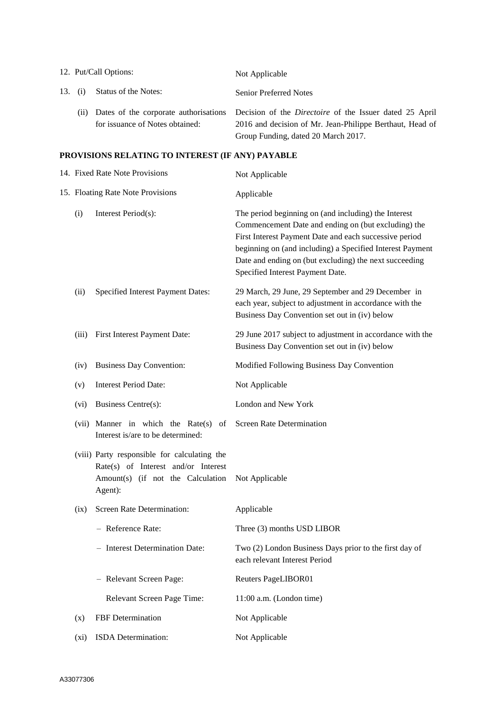| 12. Put/Call Options: |                                 | Not Applicable                                                                                                                                                                                          |  |
|-----------------------|---------------------------------|---------------------------------------------------------------------------------------------------------------------------------------------------------------------------------------------------------|--|
| 13. (i)               | Status of the Notes:            | <b>Senior Preferred Notes</b>                                                                                                                                                                           |  |
| (ii)                  | for issuance of Notes obtained: | Dates of the corporate authorisations Decision of the <i>Directoire</i> of the Issuer dated 25 April<br>2016 and decision of Mr. Jean-Philippe Berthaut, Head of<br>Group Funding, dated 20 March 2017. |  |

# **PROVISIONS RELATING TO INTEREST (IF ANY) PAYABLE**

|  | 14. Fixed Rate Note Provisions<br>15. Floating Rate Note Provisions |                                                                                                                                     | Not Applicable                                                                                                                                                                                                                                                                                                                   |
|--|---------------------------------------------------------------------|-------------------------------------------------------------------------------------------------------------------------------------|----------------------------------------------------------------------------------------------------------------------------------------------------------------------------------------------------------------------------------------------------------------------------------------------------------------------------------|
|  |                                                                     |                                                                                                                                     | Applicable                                                                                                                                                                                                                                                                                                                       |
|  | (i)                                                                 | Interest Period(s):                                                                                                                 | The period beginning on (and including) the Interest<br>Commencement Date and ending on (but excluding) the<br>First Interest Payment Date and each successive period<br>beginning on (and including) a Specified Interest Payment<br>Date and ending on (but excluding) the next succeeding<br>Specified Interest Payment Date. |
|  | (ii)                                                                | Specified Interest Payment Dates:                                                                                                   | 29 March, 29 June, 29 September and 29 December in<br>each year, subject to adjustment in accordance with the<br>Business Day Convention set out in (iv) below                                                                                                                                                                   |
|  |                                                                     | (iii) First Interest Payment Date:                                                                                                  | 29 June 2017 subject to adjustment in accordance with the<br>Business Day Convention set out in (iv) below                                                                                                                                                                                                                       |
|  | (iv)                                                                | <b>Business Day Convention:</b>                                                                                                     | Modified Following Business Day Convention                                                                                                                                                                                                                                                                                       |
|  | (v)                                                                 | <b>Interest Period Date:</b>                                                                                                        | Not Applicable                                                                                                                                                                                                                                                                                                                   |
|  | (vi)                                                                | Business Centre(s):                                                                                                                 | London and New York                                                                                                                                                                                                                                                                                                              |
|  |                                                                     | (vii) Manner in which the Rate(s) of<br>Interest is/are to be determined:                                                           | Screen Rate Determination                                                                                                                                                                                                                                                                                                        |
|  |                                                                     | (viii) Party responsible for calculating the<br>Rate(s) of Interest and/or Interest<br>Amount(s) (if not the Calculation<br>Agent): | Not Applicable                                                                                                                                                                                                                                                                                                                   |
|  | (ix)                                                                | Screen Rate Determination:                                                                                                          | Applicable                                                                                                                                                                                                                                                                                                                       |
|  |                                                                     | - Reference Rate:                                                                                                                   | Three (3) months USD LIBOR                                                                                                                                                                                                                                                                                                       |
|  |                                                                     | - Interest Determination Date:                                                                                                      | Two (2) London Business Days prior to the first day of<br>each relevant Interest Period                                                                                                                                                                                                                                          |
|  |                                                                     | - Relevant Screen Page:                                                                                                             | Reuters PageLIBOR01                                                                                                                                                                                                                                                                                                              |
|  |                                                                     | Relevant Screen Page Time:                                                                                                          | $11:00$ a.m. (London time)                                                                                                                                                                                                                                                                                                       |
|  | (x)                                                                 | FBF Determination                                                                                                                   | Not Applicable                                                                                                                                                                                                                                                                                                                   |
|  | $(x_i)$                                                             | ISDA Determination:                                                                                                                 | Not Applicable                                                                                                                                                                                                                                                                                                                   |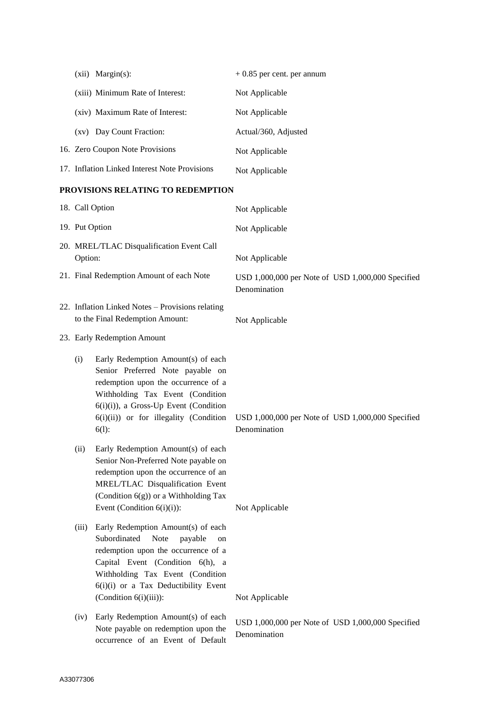| $(xii)$ Margin $(s)$ :                        | $+0.85$ per cent. per annum |
|-----------------------------------------------|-----------------------------|
| (xiii) Minimum Rate of Interest:              | Not Applicable              |
| (xiv) Maximum Rate of Interest:               | Not Applicable              |
| Day Count Fraction:<br>(xy)                   | Actual/360, Adjusted        |
| 16. Zero Coupon Note Provisions               | Not Applicable              |
| 17. Inflation Linked Interest Note Provisions | Not Applicable              |

# **PROVISIONS RELATING TO REDEMPTION**

|                                                                                                  | 18. Call Option                                                                                                                                                                                                                                              | Not Applicable                                                                      |
|--------------------------------------------------------------------------------------------------|--------------------------------------------------------------------------------------------------------------------------------------------------------------------------------------------------------------------------------------------------------------|-------------------------------------------------------------------------------------|
| 19. Put Option                                                                                   |                                                                                                                                                                                                                                                              | Not Applicable                                                                      |
| 20. MREL/TLAC Disqualification Event Call<br>Option:<br>21. Final Redemption Amount of each Note |                                                                                                                                                                                                                                                              | Not Applicable<br>USD 1,000,000 per Note of USD 1,000,000 Specified<br>Denomination |
|                                                                                                  | 22. Inflation Linked Notes - Provisions relating<br>to the Final Redemption Amount:                                                                                                                                                                          | Not Applicable                                                                      |
| 23. Early Redemption Amount                                                                      |                                                                                                                                                                                                                                                              |                                                                                     |
| (i)                                                                                              | Early Redemption Amount(s) of each<br>Senior Preferred Note payable on<br>redemption upon the occurrence of a<br>Withholding Tax Event (Condition<br>6(i)(i)), a Gross-Up Event (Condition<br>6(i)(ii)) or for illegality (Condition<br>$6(1)$ :             | USD 1,000,000 per Note of USD 1,000,000 Specified<br>Denomination                   |
| (ii)                                                                                             | Early Redemption Amount(s) of each<br>Senior Non-Preferred Note payable on<br>redemption upon the occurrence of an<br>MREL/TLAC Disqualification Event<br>(Condition 6(g)) or a Withholding Tax<br>Event (Condition $6(i)(i)$ ):                             | Not Applicable                                                                      |
| (iii)                                                                                            | Early Redemption Amount(s) of each<br>Subordinated<br>Note<br>payable<br>on<br>redemption upon the occurrence of a<br>Capital Event (Condition 6(h), a<br>Withholding Tax Event (Condition<br>6(i)(i) or a Tax Deductibility Event<br>(Condition 6(i)(iii)): | Not Applicable                                                                      |
| (iv)                                                                                             | Early Redemption Amount(s) of each<br>Note payable on redemption upon the<br>occurrence of an Event of Default                                                                                                                                               | USD 1,000,000 per Note of USD 1,000,000 Specified<br>Denomination                   |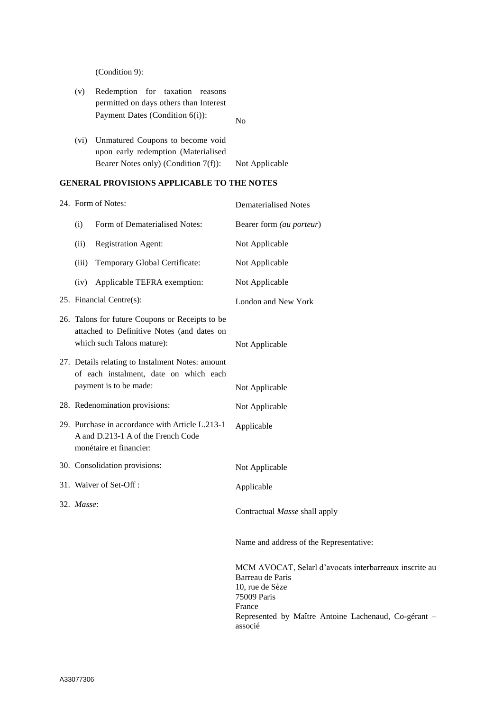(Condition 9):

- (v) Redemption for taxation reasons permitted on days others than Interest Payment Dates (Condition 6(i)): No (vi) Unmatured Coupons to become void
- upon early redemption (Materialised Bearer Notes only) (Condition 7(f)): Not Applicable

# **GENERAL PROVISIONS APPLICABLE TO THE NOTES**

|  | 24. Form of Notes: |                                                                                                                             | <b>Dematerialised Notes</b>                                                                                            |
|--|--------------------|-----------------------------------------------------------------------------------------------------------------------------|------------------------------------------------------------------------------------------------------------------------|
|  | (i)                | Form of Dematerialised Notes:                                                                                               | Bearer form (au porteur)                                                                                               |
|  | (ii)               | <b>Registration Agent:</b>                                                                                                  | Not Applicable                                                                                                         |
|  | (iii)              | Temporary Global Certificate:                                                                                               | Not Applicable                                                                                                         |
|  | (iv)               | Applicable TEFRA exemption:                                                                                                 | Not Applicable                                                                                                         |
|  |                    | 25. Financial Centre(s):                                                                                                    | London and New York                                                                                                    |
|  |                    | 26. Talons for future Coupons or Receipts to be<br>attached to Definitive Notes (and dates on<br>which such Talons mature): | Not Applicable                                                                                                         |
|  |                    | 27. Details relating to Instalment Notes: amount<br>of each instalment, date on which each<br>payment is to be made:        | Not Applicable                                                                                                         |
|  |                    | 28. Redenomination provisions:                                                                                              | Not Applicable                                                                                                         |
|  |                    | 29. Purchase in accordance with Article L.213-1<br>A and D.213-1 A of the French Code<br>monétaire et financier:            | Applicable                                                                                                             |
|  |                    | 30. Consolidation provisions:                                                                                               | Not Applicable                                                                                                         |
|  |                    | 31. Waiver of Set-Off:                                                                                                      | Applicable                                                                                                             |
|  | 32. Masse:         |                                                                                                                             | Contractual Masse shall apply                                                                                          |
|  |                    |                                                                                                                             | Name and address of the Representative:                                                                                |
|  |                    |                                                                                                                             | MCM AVOCAT, Selarl d'avocats interbarreaux inscrite au<br>Barreau de Paris<br>10, rue de Sèze<br>75009 Paris<br>France |

associé

Represented by Maître Antoine Lachenaud, Co-gérant –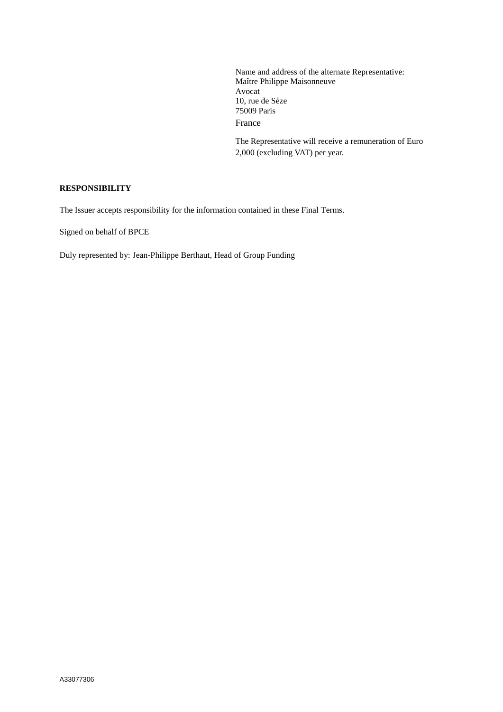Name and address of the alternate Representative: Maître Philippe Maisonneuve Avocat 10, rue de Sèze 75009 Paris France

The Representative will receive a remuneration of Euro 2,000 (excluding VAT) per year.

### **RESPONSIBILITY**

The Issuer accepts responsibility for the information contained in these Final Terms.

Signed on behalf of BPCE

Duly represented by: Jean-Philippe Berthaut, Head of Group Funding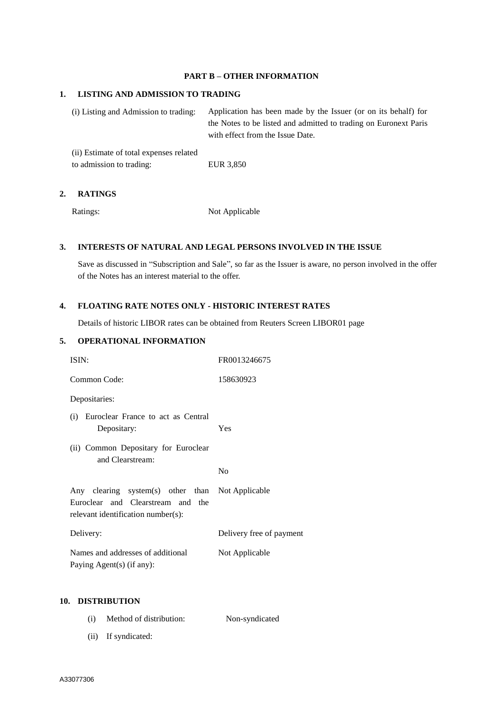#### **PART B – OTHER INFORMATION**

#### **1. LISTING AND ADMISSION TO TRADING**

(i) Listing and Admission to trading: Application has been made by the Issuer (or on its behalf) for the Notes to be listed and admitted to trading on Euronext Paris with effect from the Issue Date.

(ii) Estimate of total expenses related to admission to trading: EUR 3,850

### **2. RATINGS**

Ratings: Not Applicable

### **3. INTERESTS OF NATURAL AND LEGAL PERSONS INVOLVED IN THE ISSUE**

Save as discussed in "Subscription and Sale", so far as the Issuer is aware, no person involved in the offer of the Notes has an interest material to the offer.

### **4. FLOATING RATE NOTES ONLY - HISTORIC INTEREST RATES**

Details of historic LIBOR rates can be obtained from Reuters Screen LIBOR01 page

## **5. OPERATIONAL INFORMATION**

| ISIN:                                                                                                                       | FR0013246675             |
|-----------------------------------------------------------------------------------------------------------------------------|--------------------------|
| Common Code:                                                                                                                | 158630923                |
| Depositaries:                                                                                                               |                          |
| (i) Euroclear France to act as Central<br>Depositary:                                                                       | Yes                      |
| (ii) Common Depositary for Euroclear<br>and Clearstream:                                                                    |                          |
|                                                                                                                             | N <sub>0</sub>           |
| Any clearing system(s) other than Not Applicable<br>Euroclear and Clearstream and the<br>relevant identification number(s): |                          |
| Delivery:                                                                                                                   | Delivery free of payment |
| Names and addresses of additional<br>Paying Agent(s) (if any):                                                              | Not Applicable           |

### **10. DISTRIBUTION**

- (i) Method of distribution: Non-syndicated
- (ii) If syndicated: